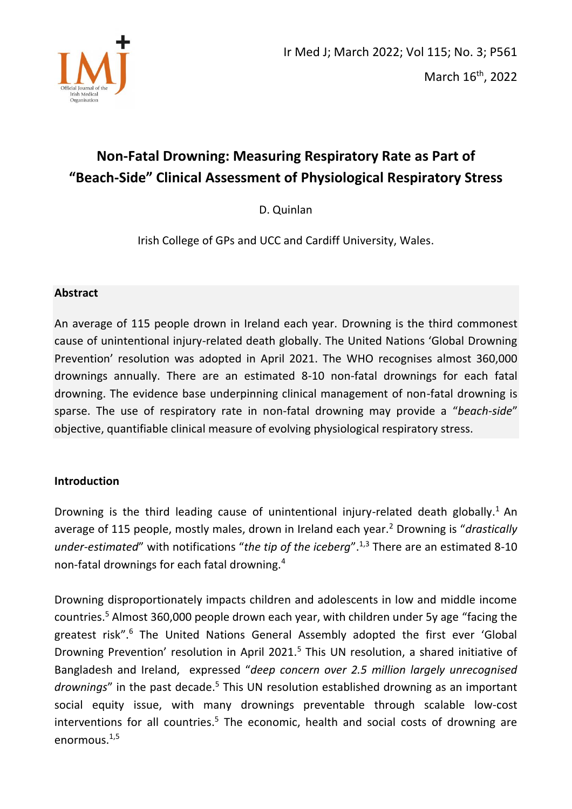

# **Non-Fatal Drowning: Measuring Respiratory Rate as Part of "Beach-Side" Clinical Assessment of Physiological Respiratory Stress**

D. Quinlan

Irish College of GPs and UCC and Cardiff University, Wales.

## **Abstract**

An average of 115 people drown in Ireland each year. Drowning is the third commonest cause of unintentional injury-related death globally. The United Nations 'Global Drowning Prevention' resolution was adopted in April 2021. The WHO recognises almost 360,000 drownings annually. There are an estimated 8-10 non-fatal drownings for each fatal drowning. The evidence base underpinning clinical management of non-fatal drowning is sparse. The use of respiratory rate in non-fatal drowning may provide a "*beach-side*" objective, quantifiable clinical measure of evolving physiological respiratory stress.

## **Introduction**

Drowning is the third leading cause of unintentional injury-related death globally.<sup>1</sup> An average of 115 people, mostly males, drown in Ireland each year.<sup>2</sup> Drowning is "*drastically under-estimated*" with notifications "*the tip of the iceberg*".<sup>1,3</sup> There are an estimated 8-10 non-fatal drownings for each fatal drowning.<sup>4</sup>

Drowning disproportionately impacts children and adolescents in low and middle income countries.<sup>5</sup> Almost 360,000 people drown each year, with children under 5y age "facing the greatest risk".<sup>6</sup> The United Nations General Assembly adopted the first ever 'Global Drowning Prevention' resolution in April 2021.<sup>5</sup> This UN resolution, a shared initiative of Bangladesh and Ireland, expressed "*deep concern over 2.5 million largely unrecognised*  drownings" in the past decade.<sup>5</sup> This UN resolution established drowning as an important social equity issue, with many drownings preventable through scalable low-cost interventions for all countries.<sup>5</sup> The economic, health and social costs of drowning are enormous. $1,5$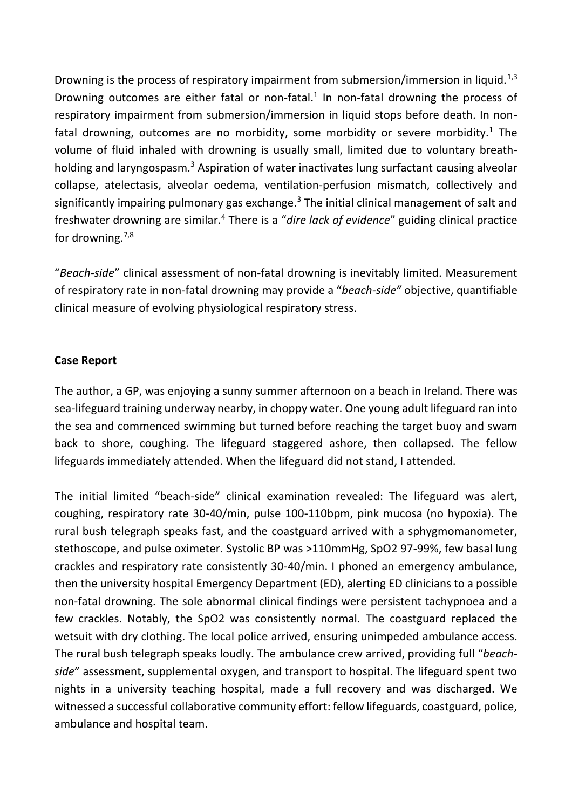Drowning is the process of respiratory impairment from submersion/immersion in liquid.<sup>1,3</sup> Drowning outcomes are either fatal or non-fatal. $1$  In non-fatal drowning the process of respiratory impairment from submersion/immersion in liquid stops before death. In nonfatal drowning, outcomes are no morbidity, some morbidity or severe morbidity.<sup>1</sup> The volume of fluid inhaled with drowning is usually small, limited due to voluntary breathholding and laryngospasm.<sup>3</sup> Aspiration of water inactivates lung surfactant causing alveolar collapse, atelectasis, alveolar oedema, ventilation-perfusion mismatch, collectively and significantly impairing pulmonary gas exchange.<sup>3</sup> The initial clinical management of salt and freshwater drowning are similar.<sup>4</sup> There is a "*dire lack of evidence*" guiding clinical practice for drowning. $7,8$ 

"*Beach-side*" clinical assessment of non-fatal drowning is inevitably limited. Measurement of respiratory rate in non-fatal drowning may provide a "*beach-side"* objective, quantifiable clinical measure of evolving physiological respiratory stress.

## **Case Report**

The author, a GP, was enjoying a sunny summer afternoon on a beach in Ireland. There was sea-lifeguard training underway nearby, in choppy water. One young adult lifeguard ran into the sea and commenced swimming but turned before reaching the target buoy and swam back to shore, coughing. The lifeguard staggered ashore, then collapsed. The fellow lifeguards immediately attended. When the lifeguard did not stand, I attended.

The initial limited "beach-side" clinical examination revealed: The lifeguard was alert, coughing, respiratory rate 30-40/min, pulse 100-110bpm, pink mucosa (no hypoxia). The rural bush telegraph speaks fast, and the coastguard arrived with a sphygmomanometer, stethoscope, and pulse oximeter. Systolic BP was >110mmHg, SpO2 97-99%, few basal lung crackles and respiratory rate consistently 30-40/min. I phoned an emergency ambulance, then the university hospital Emergency Department (ED), alerting ED clinicians to a possible non-fatal drowning. The sole abnormal clinical findings were persistent tachypnoea and a few crackles. Notably, the SpO2 was consistently normal. The coastguard replaced the wetsuit with dry clothing. The local police arrived, ensuring unimpeded ambulance access. The rural bush telegraph speaks loudly. The ambulance crew arrived, providing full "*beachside*" assessment, supplemental oxygen, and transport to hospital. The lifeguard spent two nights in a university teaching hospital, made a full recovery and was discharged. We witnessed a successful collaborative community effort: fellow lifeguards, coastguard, police, ambulance and hospital team.